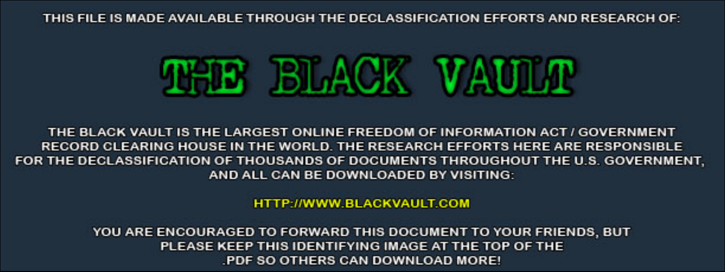THIS FILE IS MADE AVAILABLE THROUGH THE DECLASSIFICATION EFFORTS AND RESEARCH OF:



THE BLACK VAULT IS THE LARGEST ONLINE FREEDOM OF INFORMATION ACT / GOVERNMENT RECORD CLEARING HOUSE IN THE WORLD. THE RESEARCH EFFORTS HERE ARE RESPONSIBLE FOR THE DECLASSIFICATION OF THOUSANDS OF DOCUMENTS THROUGHOUT THE U.S. GOVERNMENT, AND ALL CAN BE DOWNLOADED BY VISITING:

**HTTP://WWW.BLACKVAULT.COM** 

YOU ARE ENCOURAGED TO FORWARD THIS DOCUMENT TO YOUR FRIENDS, BUT PLEASE KEEP THIS IDENTIFYING IMAGE AT THE TOP OF THE PDF SO OTHERS CAN DOWNLOAD MORE!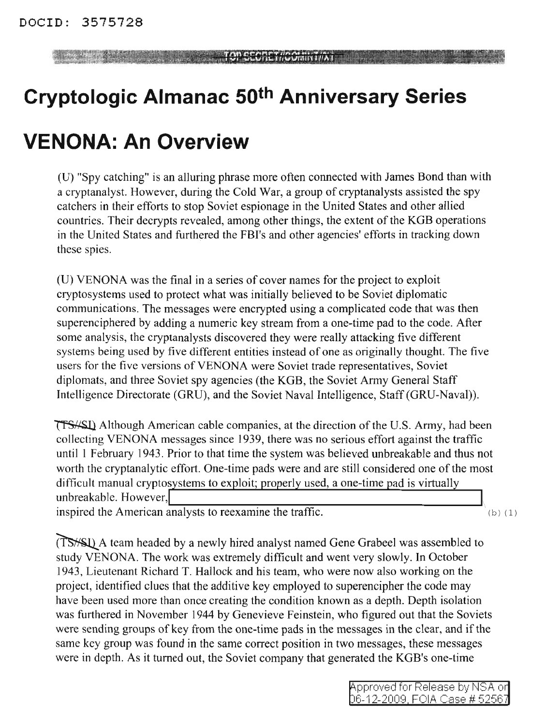#### **TOP SCORET//GOININT/IAT**

# **Cryptologic Almanac 50th Anniversary Series**

## **VENONA: An Overview**

(U) "Spy catching" is an alluring phrase more often connected with James Bond than with a cryptanalyst. However, during the Cold War, a group of cryptanalysts assisted the spy catchers in their efforts to stop Soviet espionage in the United States and other allied countries. Their decrypts revealed, among other things, the extent of the KGB operations in the United States and furthered the FBI's and other agencies' efforts in tracking down these spies.

(U) VENONA was the final in a series of cover names for the project to exploit cryptosystems used to protect what was initially believed to be Soviet diplomatic communications. The messages were encrypted using a complicated code that was then superenciphered by adding a numeric key stream from a one-time pad to the code. After some analysis, the cryptanalysts discovered they were really attacking five different systems being used by five different entities instead of one as originally thought. The five users for the five versions of VENONA were Soviet trade representatives, Soviet diplomats, and three Soviet spy agencies (the KGB, the Soviet Army General Staff Intelligence Directorate (GRU), and the Soviet Naval Intelligence, Staff(GRU-Naval)).

**TESASL** Although American cable companies, at the direction of the U.S. Army, had been collecting VENONA messages since 1939, there was no serious effort against the traffic until 1 February 1943. Prior to that time the system was believed unbreakable and thus not worth the cryptanalytic effort. One-time pads were and are still considered one of the most difficult manual cryptosystems to exploit; properly used, a one-time pad is virtually unbreakable. However,

inspired the American analysts to reexamine the traffic.  $(b)$  (1)

(TS<sup>//S</sup>L) A team headed by a newly hired analyst named Gene Grabeel was assembled to study VENONA. The work was extremely difficult and went very slowly. In October 1943, Lieutenant Richard T. Hallock and his team, who were now also working on the project, identified clues that the additive key employed to superencipher the code may have been used more than once creating the condition known as a depth. Depth isolation was furthered in November 1944 by Genevieve Feinstein, who figured out that the Soviets were sending groups of key from the one-time pads in the messages in the clear, and if the same key group was found in the same correct position in two messages, these messages were in depth. As it turned out, the Soviet company that generated the KGB's one-time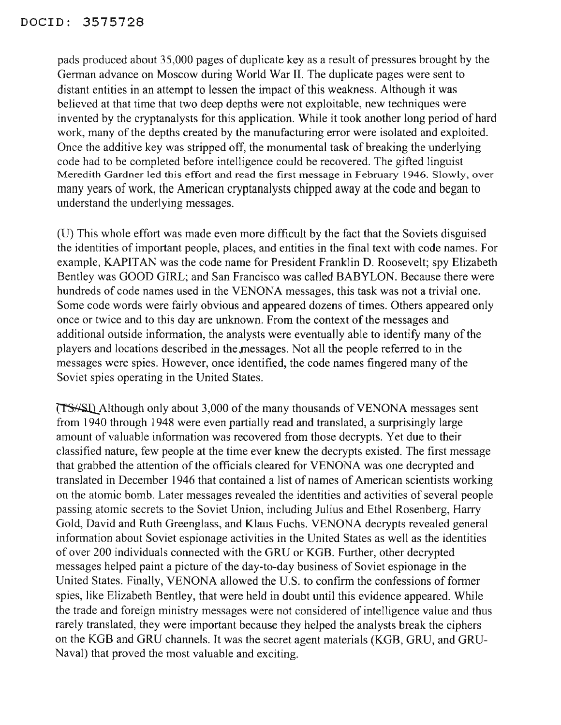### DOClD: 3575728

pads produced about 35,000 pages of duplicate key as a result of pressures brought by the German advance on Moscow during World War II. The duplicate pages were sent to distant entities in an attempt to lessen the impact of this weakness. Although it was believed at that time that two deep depths were not exploitable, new techniques were invented by the cryptanalysts for this application. While it took another long period of hard work, many of the depths created by the manufacturing error were isolated and exploited. Once the additive key was stripped off, the monumental task of breaking the underlying code had to be completed before intelligence could be recovered. The gifted linguist Meredith Gardner led this effort and read the first message in February 1946. Slowly, over many years of work, the American cryptanalysts chipped away at the code and began to understand the underlying messages.

(V) This whole effort was made even more difficult by the fact that the Soviets disguised the identities of important people, places, and entities in the final text with code names. For example, KAPITAN was the code name for President Franklin D. Roosevelt; spy Elizabeth Bentley was GOOD GIRL; and San Francisco was called BABYLON. Because there were hundreds of code names used in the VENONA messages, this task was not a trivial one. Some code words were fairly obvious and appeared dozens of times. Others appeared only once or twice and to this day are unknown. From the context of the messages and additional outside information, the analysts were eventually able to identify many of the players and locations described in the messages. Not all the people referred to in the messages were spies. However, once identified, the code names fingered many of the Soviet spies operating in the United States.

~Although only about 3,000 ofthe many thousands of VENONA messages sent from 1940 through 1948 were even partially read and translated, a surprisingly large amount of valuable information was recovered from those decrypts. Yet due to their classified nature, few people at the time ever knew the decrypts existed. The first message that grabbed the attention of the officials cleared for VENONA was one decrypted and translated in December 1946 that contained a list of names of American scientists working on the atomic bomb. Later messages revealed the identities and activities of several people passing atomic secrets to the Soviet Union, including Julius and Ethel Rosenberg, Harry Gold, David and Ruth Greenglass, and Klaus Fuchs. VENONA decrypts revealed general information about Soviet espionage activities in the United States as well as the identities of over 200 individuals connected with the GRU or KGB. Further, other decrypted messages helped paint a picture of the day-to-day business of Soviet espionage in the United States. Finally, VENONA allowed the U.S. to confirm the confessions of former spies, like Elizabeth Bentley, that were held in doubt until this evidence appeared. While the trade and foreign ministry messages were not considered of intelligence value and thus rarely translated, they were important because they helped the analysts break the ciphers on the KGB and *GRV* channels. It was the secret agent materials (KGB, *GRV,* and GRV-Naval) that proved the most valuable and exciting.